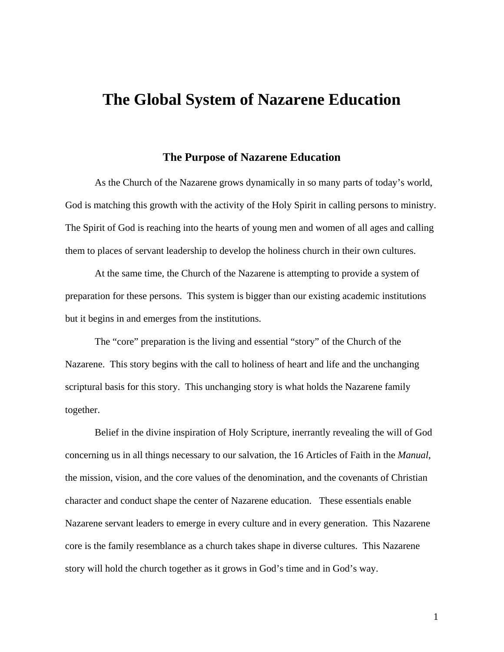# **The Global System of Nazarene Education**

## **The Purpose of Nazarene Education**

As the Church of the Nazarene grows dynamically in so many parts of today's world, God is matching this growth with the activity of the Holy Spirit in calling persons to ministry. The Spirit of God is reaching into the hearts of young men and women of all ages and calling them to places of servant leadership to develop the holiness church in their own cultures.

At the same time, the Church of the Nazarene is attempting to provide a system of preparation for these persons. This system is bigger than our existing academic institutions but it begins in and emerges from the institutions.

The "core" preparation is the living and essential "story" of the Church of the Nazarene. This story begins with the call to holiness of heart and life and the unchanging scriptural basis for this story. This unchanging story is what holds the Nazarene family together.

Belief in the divine inspiration of Holy Scripture, inerrantly revealing the will of God concerning us in all things necessary to our salvation, the 16 Articles of Faith in the *Manual*, the mission, vision, and the core values of the denomination, and the covenants of Christian character and conduct shape the center of Nazarene education. These essentials enable Nazarene servant leaders to emerge in every culture and in every generation. This Nazarene core is the family resemblance as a church takes shape in diverse cultures. This Nazarene story will hold the church together as it grows in God's time and in God's way.

1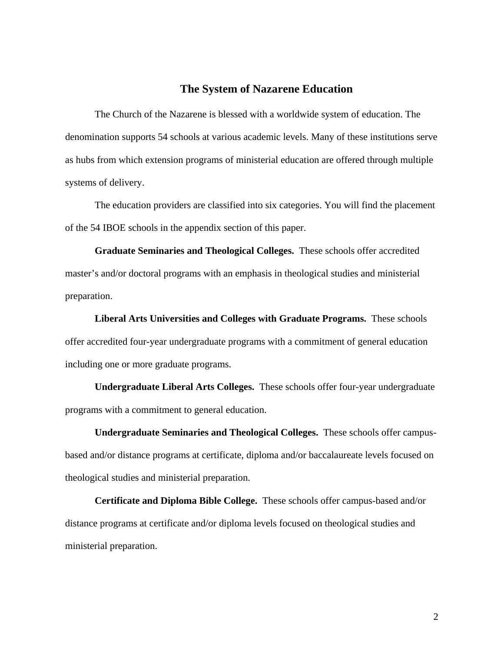#### **The System of Nazarene Education**

The Church of the Nazarene is blessed with a worldwide system of education. The denomination supports 54 schools at various academic levels. Many of these institutions serve as hubs from which extension programs of ministerial education are offered through multiple systems of delivery.

The education providers are classified into six categories. You will find the placement of the 54 IBOE schools in the appendix section of this paper.

**Graduate Seminaries and Theological Colleges.** These schools offer accredited master's and/or doctoral programs with an emphasis in theological studies and ministerial preparation.

**Liberal Arts Universities and Colleges with Graduate Programs.** These schools offer accredited four-year undergraduate programs with a commitment of general education including one or more graduate programs.

**Undergraduate Liberal Arts Colleges.** These schools offer four-year undergraduate programs with a commitment to general education.

**Undergraduate Seminaries and Theological Colleges.** These schools offer campusbased and/or distance programs at certificate, diploma and/or baccalaureate levels focused on theological studies and ministerial preparation.

**Certificate and Diploma Bible College.** These schools offer campus-based and/or distance programs at certificate and/or diploma levels focused on theological studies and ministerial preparation.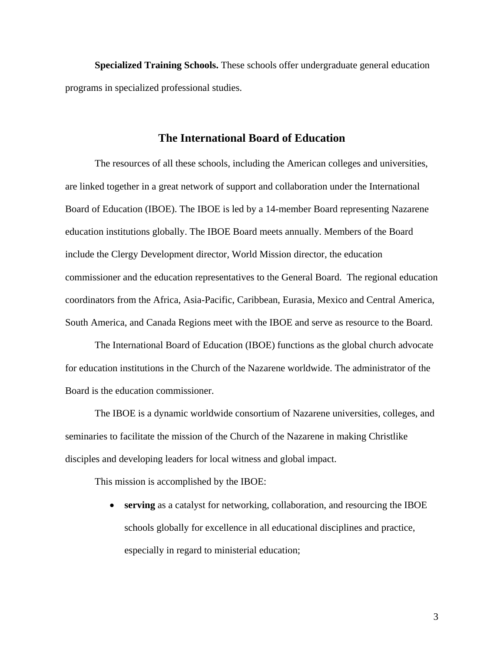**Specialized Training Schools.** These schools offer undergraduate general education programs in specialized professional studies.

# **The International Board of Education**

The resources of all these schools, including the American colleges and universities, are linked together in a great network of support and collaboration under the International Board of Education (IBOE). The IBOE is led by a 14-member Board representing Nazarene education institutions globally. The IBOE Board meets annually. Members of the Board include the Clergy Development director, World Mission director, the education commissioner and the education representatives to the General Board. The regional education coordinators from the Africa, Asia-Pacific, Caribbean, Eurasia, Mexico and Central America, South America, and Canada Regions meet with the IBOE and serve as resource to the Board.

The International Board of Education (IBOE) functions as the global church advocate for education institutions in the Church of the Nazarene worldwide. The administrator of the Board is the education commissioner.

The IBOE is a dynamic worldwide consortium of Nazarene universities, colleges, and seminaries to facilitate the mission of the Church of the Nazarene in making Christlike disciples and developing leaders for local witness and global impact.

This mission is accomplished by the IBOE:

 **serving** as a catalyst for networking, collaboration, and resourcing the IBOE schools globally for excellence in all educational disciplines and practice, especially in regard to ministerial education;

3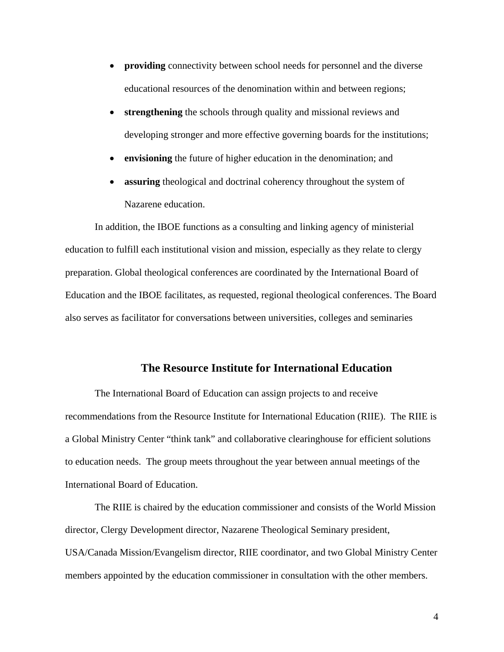- **providing** connectivity between school needs for personnel and the diverse educational resources of the denomination within and between regions;
- **strengthening** the schools through quality and missional reviews and developing stronger and more effective governing boards for the institutions;
- **envisioning** the future of higher education in the denomination; and
- **assuring** theological and doctrinal coherency throughout the system of Nazarene education.

In addition, the IBOE functions as a consulting and linking agency of ministerial education to fulfill each institutional vision and mission, especially as they relate to clergy preparation. Global theological conferences are coordinated by the International Board of Education and the IBOE facilitates, as requested, regional theological conferences. The Board also serves as facilitator for conversations between universities, colleges and seminaries

# **The Resource Institute for International Education**

The International Board of Education can assign projects to and receive recommendations from the Resource Institute for International Education (RIIE). The RIIE is a Global Ministry Center "think tank" and collaborative clearinghouse for efficient solutions to education needs. The group meets throughout the year between annual meetings of the International Board of Education.

The RIIE is chaired by the education commissioner and consists of the World Mission director, Clergy Development director, Nazarene Theological Seminary president, USA/Canada Mission/Evangelism director, RIIE coordinator, and two Global Ministry Center members appointed by the education commissioner in consultation with the other members.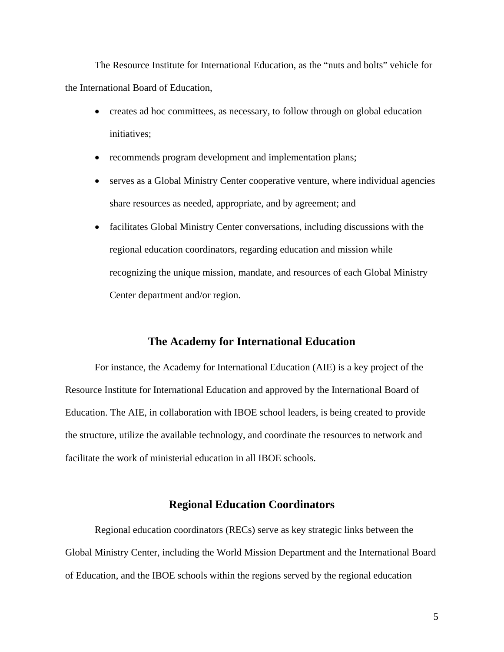The Resource Institute for International Education, as the "nuts and bolts" vehicle for the International Board of Education,

- creates ad hoc committees, as necessary, to follow through on global education initiatives;
- recommends program development and implementation plans;
- serves as a Global Ministry Center cooperative venture, where individual agencies share resources as needed, appropriate, and by agreement; and
- facilitates Global Ministry Center conversations, including discussions with the regional education coordinators, regarding education and mission while recognizing the unique mission, mandate, and resources of each Global Ministry Center department and/or region.

#### **The Academy for International Education**

For instance, the Academy for International Education (AIE) is a key project of the Resource Institute for International Education and approved by the International Board of Education. The AIE, in collaboration with IBOE school leaders, is being created to provide the structure, utilize the available technology, and coordinate the resources to network and facilitate the work of ministerial education in all IBOE schools.

# **Regional Education Coordinators**

Regional education coordinators (RECs) serve as key strategic links between the Global Ministry Center, including the World Mission Department and the International Board of Education, and the IBOE schools within the regions served by the regional education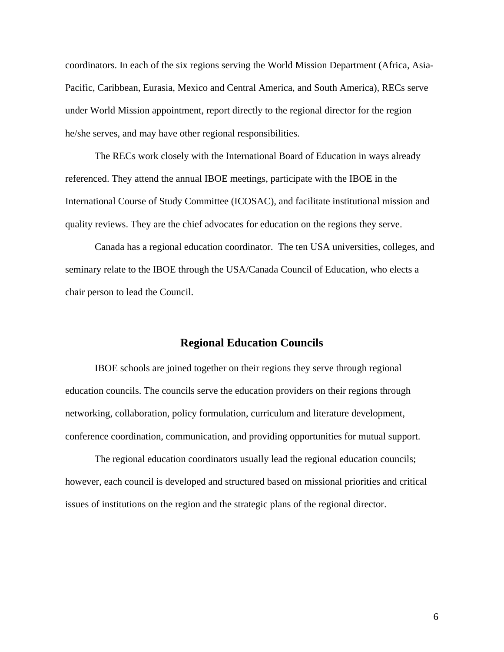coordinators. In each of the six regions serving the World Mission Department (Africa, Asia-Pacific, Caribbean, Eurasia, Mexico and Central America, and South America), RECs serve under World Mission appointment, report directly to the regional director for the region he/she serves, and may have other regional responsibilities.

The RECs work closely with the International Board of Education in ways already referenced. They attend the annual IBOE meetings, participate with the IBOE in the International Course of Study Committee (ICOSAC), and facilitate institutional mission and quality reviews. They are the chief advocates for education on the regions they serve.

Canada has a regional education coordinator. The ten USA universities, colleges, and seminary relate to the IBOE through the USA/Canada Council of Education, who elects a chair person to lead the Council.

#### **Regional Education Councils**

IBOE schools are joined together on their regions they serve through regional education councils. The councils serve the education providers on their regions through networking, collaboration, policy formulation, curriculum and literature development, conference coordination, communication, and providing opportunities for mutual support.

The regional education coordinators usually lead the regional education councils; however, each council is developed and structured based on missional priorities and critical issues of institutions on the region and the strategic plans of the regional director.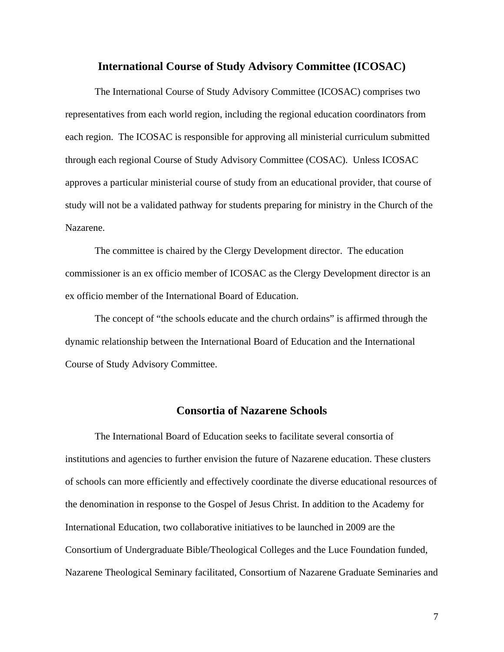#### **International Course of Study Advisory Committee (ICOSAC)**

The International Course of Study Advisory Committee (ICOSAC) comprises two representatives from each world region, including the regional education coordinators from each region. The ICOSAC is responsible for approving all ministerial curriculum submitted through each regional Course of Study Advisory Committee (COSAC). Unless ICOSAC approves a particular ministerial course of study from an educational provider, that course of study will not be a validated pathway for students preparing for ministry in the Church of the Nazarene.

The committee is chaired by the Clergy Development director. The education commissioner is an ex officio member of ICOSAC as the Clergy Development director is an ex officio member of the International Board of Education.

The concept of "the schools educate and the church ordains" is affirmed through the dynamic relationship between the International Board of Education and the International Course of Study Advisory Committee.

## **Consortia of Nazarene Schools**

The International Board of Education seeks to facilitate several consortia of institutions and agencies to further envision the future of Nazarene education. These clusters of schools can more efficiently and effectively coordinate the diverse educational resources of the denomination in response to the Gospel of Jesus Christ. In addition to the Academy for International Education, two collaborative initiatives to be launched in 2009 are the Consortium of Undergraduate Bible/Theological Colleges and the Luce Foundation funded, Nazarene Theological Seminary facilitated, Consortium of Nazarene Graduate Seminaries and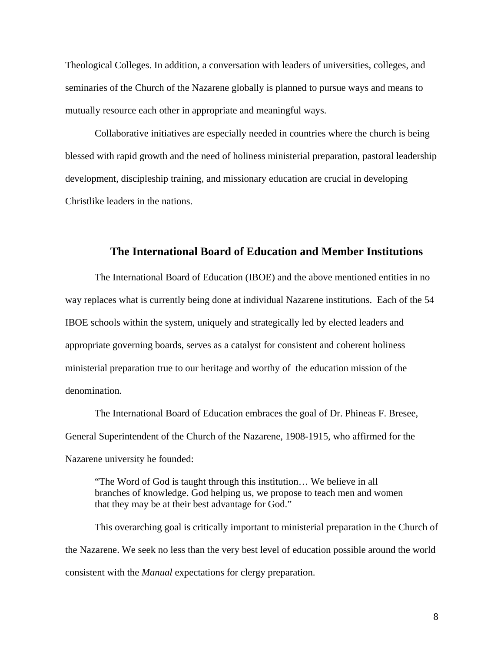Theological Colleges. In addition, a conversation with leaders of universities, colleges, and seminaries of the Church of the Nazarene globally is planned to pursue ways and means to mutually resource each other in appropriate and meaningful ways.

Collaborative initiatives are especially needed in countries where the church is being blessed with rapid growth and the need of holiness ministerial preparation, pastoral leadership development, discipleship training, and missionary education are crucial in developing Christlike leaders in the nations.

# **The International Board of Education and Member Institutions**

The International Board of Education (IBOE) and the above mentioned entities in no way replaces what is currently being done at individual Nazarene institutions. Each of the 54 IBOE schools within the system, uniquely and strategically led by elected leaders and appropriate governing boards, serves as a catalyst for consistent and coherent holiness ministerial preparation true to our heritage and worthy of the education mission of the denomination.

The International Board of Education embraces the goal of Dr. Phineas F. Bresee, General Superintendent of the Church of the Nazarene, 1908-1915, who affirmed for the Nazarene university he founded:

"The Word of God is taught through this institution… We believe in all branches of knowledge. God helping us, we propose to teach men and women that they may be at their best advantage for God."

This overarching goal is critically important to ministerial preparation in the Church of the Nazarene. We seek no less than the very best level of education possible around the world consistent with the *Manual* expectations for clergy preparation.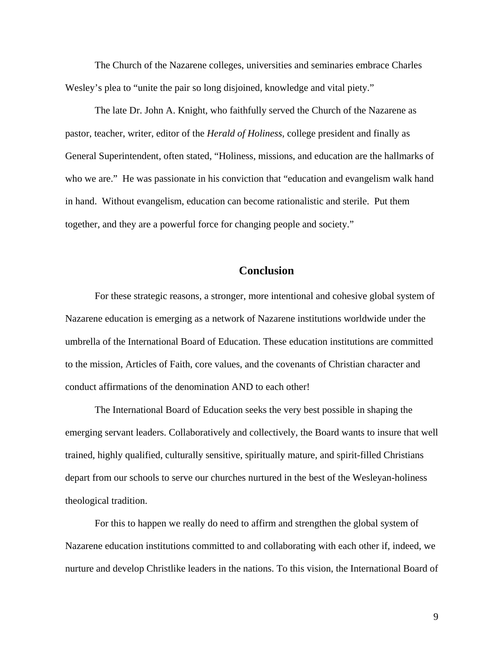The Church of the Nazarene colleges, universities and seminaries embrace Charles Wesley's plea to "unite the pair so long disjoined, knowledge and vital piety."

The late Dr. John A. Knight, who faithfully served the Church of the Nazarene as pastor, teacher, writer, editor of the *Herald of Holiness*, college president and finally as General Superintendent, often stated, "Holiness, missions, and education are the hallmarks of who we are." He was passionate in his conviction that "education and evangelism walk hand in hand. Without evangelism, education can become rationalistic and sterile. Put them together, and they are a powerful force for changing people and society."

# **Conclusion**

For these strategic reasons, a stronger, more intentional and cohesive global system of Nazarene education is emerging as a network of Nazarene institutions worldwide under the umbrella of the International Board of Education. These education institutions are committed to the mission, Articles of Faith, core values, and the covenants of Christian character and conduct affirmations of the denomination AND to each other!

The International Board of Education seeks the very best possible in shaping the emerging servant leaders. Collaboratively and collectively, the Board wants to insure that well trained, highly qualified, culturally sensitive, spiritually mature, and spirit-filled Christians depart from our schools to serve our churches nurtured in the best of the Wesleyan-holiness theological tradition.

For this to happen we really do need to affirm and strengthen the global system of Nazarene education institutions committed to and collaborating with each other if, indeed, we nurture and develop Christlike leaders in the nations. To this vision, the International Board of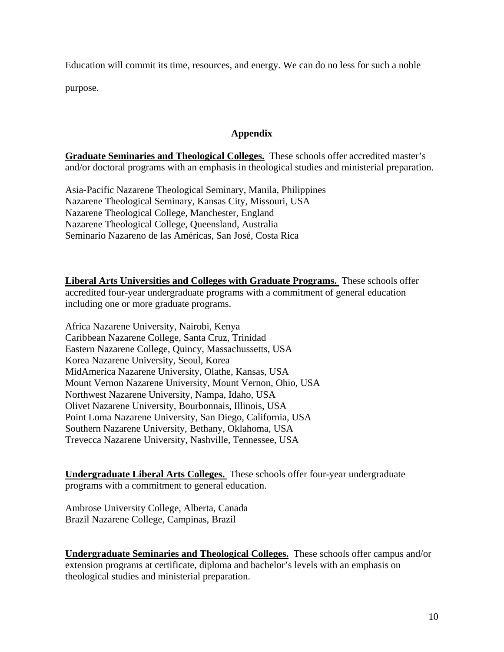Education will commit its time, resources, and energy. We can do no less for such a noble purpose.

## **Appendix**

**Graduate Seminaries and Theological Colleges.** These schools offer accredited master's and/or doctoral programs with an emphasis in theological studies and ministerial preparation.

Asia-Pacific Nazarene Theological Seminary, Manila, Philippines Nazarene Theological Seminary, Kansas City, Missouri, USA Nazarene Theological College, Manchester, England Nazarene Theological College, Queensland, Australia Seminario Nazareno de las Américas, San José, Costa Rica

**Liberal Arts Universities and Colleges with Graduate Programs.** These schools offer accredited four-year undergraduate programs with a commitment of general education including one or more graduate programs.

Africa Nazarene University, Nairobi, Kenya Caribbean Nazarene College, Santa Cruz, Trinidad Eastern Nazarene College, Quincy, Massachussetts, USA Korea Nazarene University, Seoul, Korea MidAmerica Nazarene University, Olathe, Kansas, USA Mount Vernon Nazarene University, Mount Vernon, Ohio, USA Northwest Nazarene University, Nampa, Idaho, USA Olivet Nazarene University, Bourbonnais, Illinois, USA Point Loma Nazarene University, San Diego, California, USA Southern Nazarene University, Bethany, Oklahoma, USA Trevecca Nazarene University, Nashville, Tennessee, USA

**Undergraduate Liberal Arts Colleges.** These schools offer four-year undergraduate programs with a commitment to general education.

Ambrose University College, Alberta, Canada Brazil Nazarene College, Campinas, Brazil

**Undergraduate Seminaries and Theological Colleges.** These schools offer campus and/or extension programs at certificate, diploma and bachelor's levels with an emphasis on theological studies and ministerial preparation.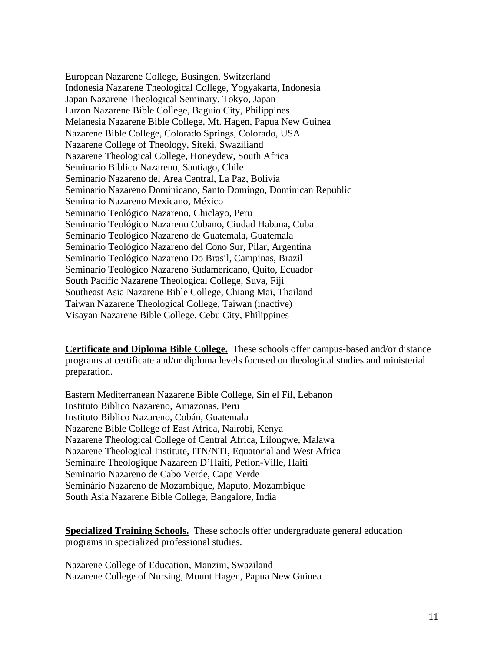European Nazarene College, Busingen, Switzerland Indonesia Nazarene Theological College, Yogyakarta, Indonesia Japan Nazarene Theological Seminary, Tokyo, Japan Luzon Nazarene Bible College, Baguio City, Philippines Melanesia Nazarene Bible College, Mt. Hagen, Papua New Guinea Nazarene Bible College, Colorado Springs, Colorado, USA Nazarene College of Theology, Siteki, Swaziliand Nazarene Theological College, Honeydew, South Africa Seminario Biblico Nazareno, Santiago, Chile Seminario Nazareno del Area Central, La Paz, Bolivia Seminario Nazareno Dominicano, Santo Domingo, Dominican Republic Seminario Nazareno Mexicano, México Seminario Teológico Nazareno, Chiclayo, Peru Seminario Teológico Nazareno Cubano, Ciudad Habana, Cuba Seminario Teológico Nazareno de Guatemala, Guatemala Seminario Teológico Nazareno del Cono Sur, Pilar, Argentina Seminario Teológico Nazareno Do Brasil, Campinas, Brazil Seminario Teológico Nazareno Sudamericano, Quito, Ecuador South Pacific Nazarene Theological College, Suva, Fiji Southeast Asia Nazarene Bible College, Chiang Mai, Thailand Taiwan Nazarene Theological College, Taiwan (inactive) Visayan Nazarene Bible College, Cebu City, Philippines

**Certificate and Diploma Bible College.** These schools offer campus-based and/or distance programs at certificate and/or diploma levels focused on theological studies and ministerial preparation.

Eastern Mediterranean Nazarene Bible College, Sin el Fil, Lebanon Instituto Biblico Nazareno, Amazonas, Peru Instituto Biblico Nazareno, Cobán, Guatemala Nazarene Bible College of East Africa, Nairobi, Kenya Nazarene Theological College of Central Africa, Lilongwe, Malawa Nazarene Theological Institute, ITN/NTI, Equatorial and West Africa Seminaire Theologique Nazareen D'Haiti, Petion-Ville, Haiti Seminario Nazareno de Cabo Verde, Cape Verde Seminário Nazareno de Mozambique, Maputo, Mozambique South Asia Nazarene Bible College, Bangalore, India

**Specialized Training Schools.** These schools offer undergraduate general education programs in specialized professional studies.

Nazarene College of Education, Manzini, Swaziland Nazarene College of Nursing, Mount Hagen, Papua New Guinea